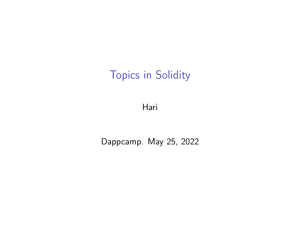# Topics in Solidity

Hari

Dappcamp. May 25, 2022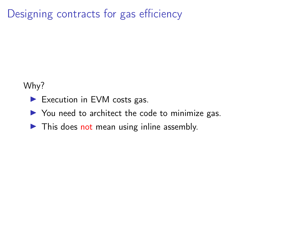Designing contracts for gas efficiency

Why?

- $\blacktriangleright$  Execution in EVM costs gas.
- $\triangleright$  You need to architect the code to minimize gas.
- $\triangleright$  This does not mean using inline assembly.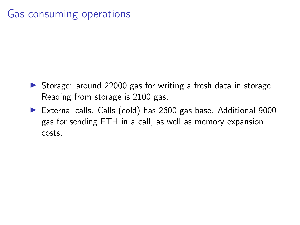## Gas consuming operations

- $\triangleright$  Storage: around 22000 gas for writing a fresh data in storage. Reading from storage is 2100 gas.
- External calls. Calls (cold) has 2600 gas base. Additional 9000 gas for sending ETH in a call, as well as memory expansion costs.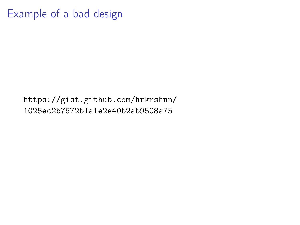### Example of a bad design

[https://gist.github.com/hrkrshnn/](https://gist.github.com/hrkrshnn/1025ec2b7672b1a1e2e40b2ab9508a75) [1025ec2b7672b1a1e2e40b2ab9508a75](https://gist.github.com/hrkrshnn/1025ec2b7672b1a1e2e40b2ab9508a75)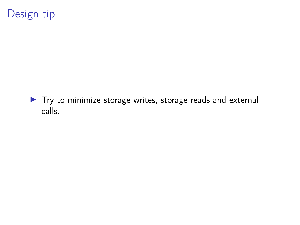## Design tip

 $\blacktriangleright$  Try to minimize storage writes, storage reads and external calls.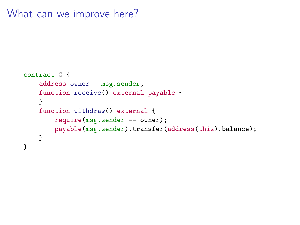What can we improve here?

```
contract C {
    address owner = msg.sender;
    function receive() external payable {
    }
    function withdraw() external {
        require(msg.sender == owner);
        payable(msg.sender).transfer(address(this).balance);
   }
}
```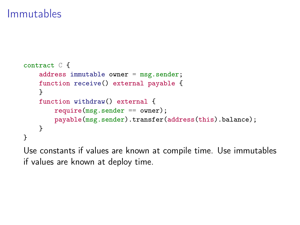### Immutables

```
contract C {
    address immutable owner = msg.sender;
    function receive() external payable {
    }
    function withdraw() external {
        require(msg.sender == owner);
        payable(msg.sender).transfer(address(this).balance);
    }
}
```
Use constants if values are known at compile time. Use immutables if values are known at deploy time.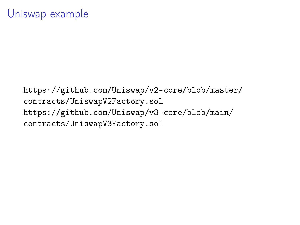[https://github.com/Uniswap/v2-core/blob/master/](https://github.com/Uniswap/v2-core/blob/master/contracts/UniswapV2Factory.sol) [contracts/UniswapV2Factory.sol](https://github.com/Uniswap/v2-core/blob/master/contracts/UniswapV2Factory.sol) [https://github.com/Uniswap/v3-core/blob/main/](https://github.com/Uniswap/v3-core/blob/main/contracts/UniswapV3Factory.sol) [contracts/UniswapV3Factory.sol](https://github.com/Uniswap/v3-core/blob/main/contracts/UniswapV3Factory.sol)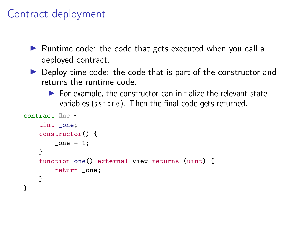## Contract deployment

- $\triangleright$  Runtime code: the code that gets executed when you call a deployed contract.
- $\triangleright$  Deploy time code: the code that is part of the constructor and returns the runtime code.
	- $\blacktriangleright$  For example, the constructor can initialize the relevant state variables (sstore). Then the final code gets returned.

```
contract One {
    uint _one;
    constructor() {
        \sqrt{2} one = 1;
    }
    function one() external view returns (uint) {
        return _one;
    }
}
```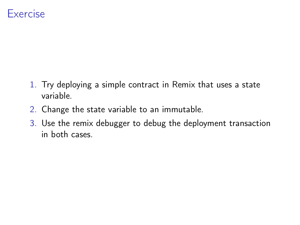#### Exercise

- 1. Try deploying a simple contract in Remix that uses a state variable.
- 2. Change the state variable to an immutable.
- 3. Use the remix debugger to debug the deployment transaction in both cases.